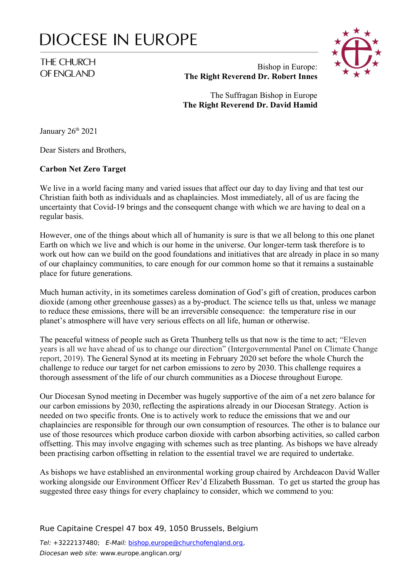# **DIOCESE IN EUROPE**

# THE CHURCH OF FNGLAND



## Bishop in Europe: **The Right Reverend Dr. Robert Innes**

The Suffragan Bishop in Europe **The Right Reverend Dr. David Hamid**

January 26<sup>th</sup> 2021

Dear Sisters and Brothers,

#### **Carbon Net Zero Target**

We live in a world facing many and varied issues that affect our day to day living and that test our Christian faith both as individuals and as chaplaincies. Most immediately, all of us are facing the uncertainty that Covid-19 brings and the consequent change with which we are having to deal on a regular basis.

However, one of the things about which all of humanity is sure is that we all belong to this one planet Earth on which we live and which is our home in the universe. Our longer-term task therefore is to work out how can we build on the good foundations and initiatives that are already in place in so many of our chaplaincy communities, to care enough for our common home so that it remains a sustainable place for future generations.

Much human activity, in its sometimes careless domination of God's gift of creation, produces carbon dioxide (among other greenhouse gasses) as a by-product. The science tells us that, unless we manage to reduce these emissions, there will be an irreversible consequence: the temperature rise in our planet's atmosphere will have very serious effects on all life, human or otherwise.

The peaceful witness of people such as Greta Thunberg tells us that now is the time to act; "Eleven years is all we have ahead of us to change our direction" (Intergovernmental Panel on Climate Change report, 2019). The General Synod at its meeting in February 2020 set before the whole Church the challenge to reduce our target for net carbon emissions to zero by 2030. This challenge requires a thorough assessment of the life of our church communities as a Diocese throughout Europe.

Our Diocesan Synod meeting in December was hugely supportive of the aim of a net zero balance for our carbon emissions by 2030, reflecting the aspirations already in our Diocesan Strategy. Action is needed on two specific fronts. One is to actively work to reduce the emissions that we and our chaplaincies are responsible for through our own consumption of resources. The other is to balance our use of those resources which produce carbon dioxide with carbon absorbing activities, so called carbon offsetting. This may involve engaging with schemes such as tree planting. As bishops we have already been practising carbon offsetting in relation to the essential travel we are required to undertake.

As bishops we have established an environmental working group chaired by Archdeacon David Waller working alongside our Environment Officer Rev'd Elizabeth Bussman. To get us started the group has suggested three easy things for every chaplaincy to consider, which we commend to you:

Rue Capitaine Crespel 47 box 49, 1050 Brussels, Belgium